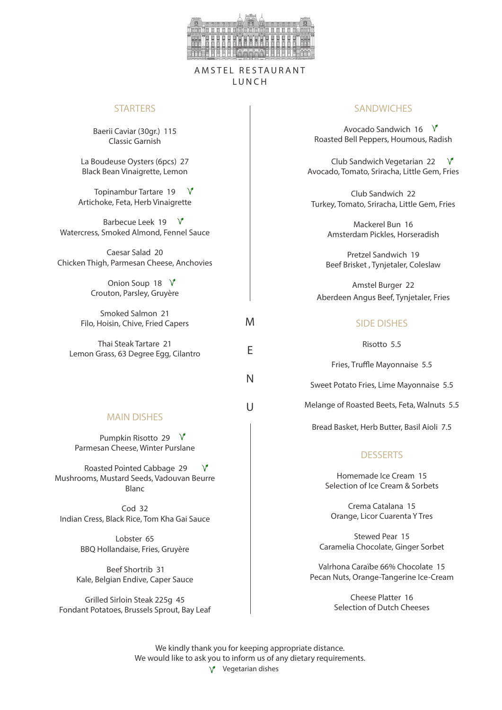

### AMSTEL RESTAURANT L U N C H

M

E

N

 $\cup$ 

#### **STARTERS**

Baerii Caviar (30gr.) 115 Classic Garnish

La Boudeuse Oysters (6pcs) 27 Black Bean Vinaigrette, Lemon

Topinambur Tartare 19  $V$ Artichoke, Feta, Herb Vinaigrette

Barbecue Leek 19  $\sqrt{ }$ Watercress, Smoked Almond, Fennel Sauce

Caesar Salad 20 Chicken Thigh, Parmesan Cheese, Anchovies

> Onion Soup 18  $\sqrt{ }$ Crouton, Parsley, Gruyère

Smoked Salmon 21 Filo, Hoisin, Chive, Fried Capers

Thai Steak Tartare 21 Lemon Grass, 63 Degree Egg, Cilantro

### MAIN DISHES

Pumpkin Risotto 29  $\sqrt{ }$ Parmesan Cheese, Winter Purslane

 Roasted Pointed Cabbage 29 Mushrooms, Mustard Seeds, Vadouvan Beurre Blanc

Cod 32 Indian Cress, Black Rice, Tom Kha Gai Sauce

> Lobster 65 BBQ Hollandaise, Fries, Gruyère

 Beef Shortrib 31 Kale, Belgian Endive, Caper Sauce

Grilled Sirloin Steak 225g 45 Fondant Potatoes, Brussels Sprout, Bay Leaf

### **SANDWICHES**

Avocado Sandwich 16  $\sqrt{ }$ Roasted Bell Peppers, Houmous, Radish

Club Sandwich Vegetarian 22 Avocado, Tomato, Sriracha, Little Gem, Fries

Club Sandwich 22 Turkey, Tomato, Sriracha, Little Gem, Fries

> Mackerel Bun 16 Amsterdam Pickles, Horseradish

Pretzel Sandwich 19 Beef Brisket , Tynjetaler, Coleslaw

Amstel Burger 22 Aberdeen Angus Beef, Tynjetaler, Fries

#### SIDE DISHES

Risotto 5.5

Fries, Truffle Mayonnaise 5.5

Sweet Potato Fries, Lime Mayonnaise 5.5

Melange of Roasted Beets, Feta, Walnuts 5.5

Bread Basket, Herb Butter, Basil Aioli 7.5

#### **DESSERTS**

Homemade Ice Cream 15 Selection of Ice Cream & Sorbets

Crema Catalana 15 Orange, Licor Cuarenta Y Tres

Stewed Pear 15 Caramelia Chocolate, Ginger Sorbet

Valrhona Caraïbe 66% Chocolate 15 Pecan Nuts, Orange-Tangerine Ice-Cream

> Cheese Platter 16 Selection of Dutch Cheeses

We kindly thank you for keeping appropriate distance. We would like to ask you to inform us of any dietary requirements.  $V$  Vegetarian dishes